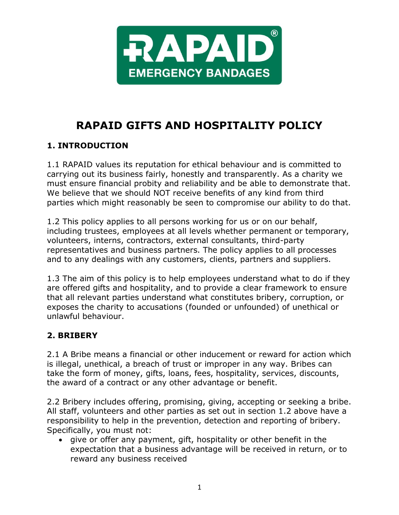

# **RAPAID GIFTS AND HOSPITALITY POLICY**

## **1. INTRODUCTION**

1.1 RAPAID values its reputation for ethical behaviour and is committed to carrying out its business fairly, honestly and transparently. As a charity we must ensure financial probity and reliability and be able to demonstrate that. We believe that we should NOT receive benefits of any kind from third parties which might reasonably be seen to compromise our ability to do that.

1.2 This policy applies to all persons working for us or on our behalf, including trustees, employees at all levels whether permanent or temporary, volunteers, interns, contractors, external consultants, third-party representatives and business partners. The policy applies to all processes and to any dealings with any customers, clients, partners and suppliers.

1.3 The aim of this policy is to help employees understand what to do if they are offered gifts and hospitality, and to provide a clear framework to ensure that all relevant parties understand what constitutes bribery, corruption, or exposes the charity to accusations (founded or unfounded) of unethical or unlawful behaviour.

### **2. BRIBERY**

2.1 A Bribe means a financial or other inducement or reward for action which is illegal, unethical, a breach of trust or improper in any way. Bribes can take the form of money, gifts, loans, fees, hospitality, services, discounts, the award of a contract or any other advantage or benefit.

2.2 Bribery includes offering, promising, giving, accepting or seeking a bribe. All staff, volunteers and other parties as set out in section 1.2 above have a responsibility to help in the prevention, detection and reporting of bribery. Specifically, you must not:

• give or offer any payment, gift, hospitality or other benefit in the expectation that a business advantage will be received in return, or to reward any business received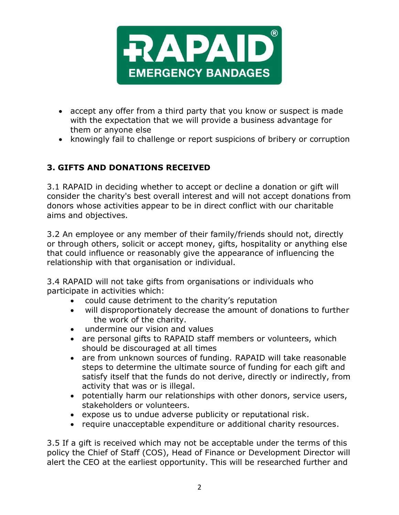

- accept any offer from a third party that you know or suspect is made with the expectation that we will provide a business advantage for them or anyone else
- knowingly fail to challenge or report suspicions of bribery or corruption

#### **3. GIFTS AND DONATIONS RECEIVED**

3.1 RAPAID in deciding whether to accept or decline a donation or gift will consider the charity's best overall interest and will not accept donations from donors whose activities appear to be in direct conflict with our charitable aims and objectives.

3.2 An employee or any member of their family/friends should not, directly or through others, solicit or accept money, gifts, hospitality or anything else that could influence or reasonably give the appearance of influencing the relationship with that organisation or individual.

3.4 RAPAID will not take gifts from organisations or individuals who participate in activities which:

- could cause detriment to the charity's reputation
- will disproportionately decrease the amount of donations to further the work of the charity.
- undermine our vision and values
- are personal gifts to RAPAID staff members or volunteers, which should be discouraged at all times
- are from unknown sources of funding. RAPAID will take reasonable steps to determine the ultimate source of funding for each gift and satisfy itself that the funds do not derive, directly or indirectly, from activity that was or is illegal.
- potentially harm our relationships with other donors, service users, stakeholders or volunteers.
- expose us to undue adverse publicity or reputational risk.
- require unacceptable expenditure or additional charity resources.

3.5 If a gift is received which may not be acceptable under the terms of this policy the Chief of Staff (COS), Head of Finance or Development Director will alert the CEO at the earliest opportunity. This will be researched further and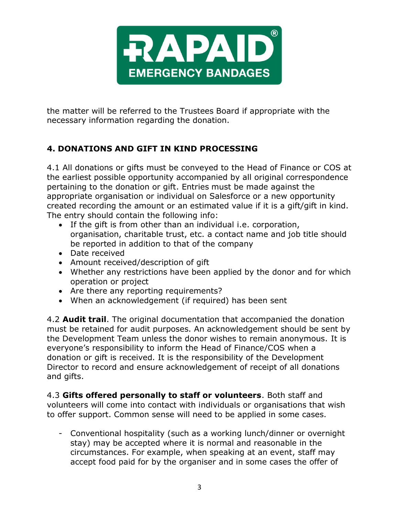

the matter will be referred to the Trustees Board if appropriate with the necessary information regarding the donation.

## **4. DONATIONS AND GIFT IN KIND PROCESSING**

4.1 All donations or gifts must be conveyed to the Head of Finance or COS at the earliest possible opportunity accompanied by all original correspondence pertaining to the donation or gift. Entries must be made against the appropriate organisation or individual on Salesforce or a new opportunity created recording the amount or an estimated value if it is a gift/gift in kind. The entry should contain the following info:

- If the gift is from other than an individual i.e. corporation, organisation, charitable trust, etc. a contact name and job title should be reported in addition to that of the company
- Date received
- Amount received/description of gift
- Whether any restrictions have been applied by the donor and for which operation or project
- Are there any reporting requirements?
- When an acknowledgement (if required) has been sent

4.2 **Audit trail**. The original documentation that accompanied the donation must be retained for audit purposes. An acknowledgement should be sent by the Development Team unless the donor wishes to remain anonymous. It is everyone's responsibility to inform the Head of Finance/COS when a donation or gift is received. It is the responsibility of the Development Director to record and ensure acknowledgement of receipt of all donations and gifts.

4.3 **Gifts offered personally to staff or volunteers**. Both staff and volunteers will come into contact with individuals or organisations that wish to offer support. Common sense will need to be applied in some cases.

- Conventional hospitality (such as a working lunch/dinner or overnight stay) may be accepted where it is normal and reasonable in the circumstances. For example, when speaking at an event, staff may accept food paid for by the organiser and in some cases the offer of